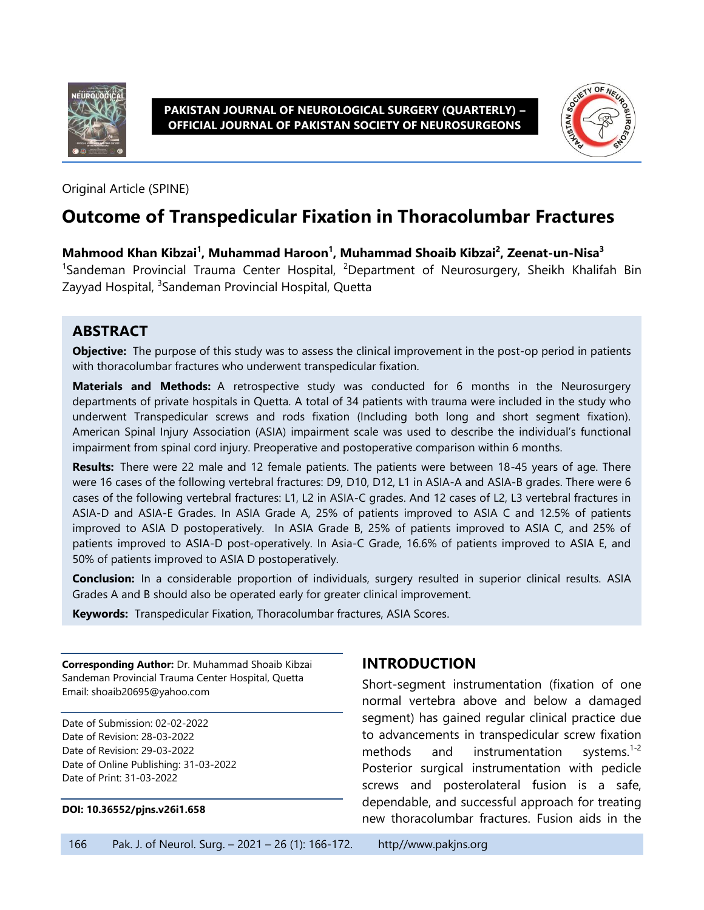

**PAKISTAN JOURNAL OF NEUROLOGICAL SURGERY (QUARTERLY) – OFFICIAL JOURNAL OF PAKISTAN SOCIETY OF NEUROSURGEONS**



Original Article (SPINE)

# **Outcome of Transpedicular Fixation in Thoracolumbar Fractures**

**Mahmood Khan Kibzai<sup>1</sup> , Muhammad Haroon<sup>1</sup> , Muhammad Shoaib Kibzai<sup>2</sup> , Zeenat-un-Nisa<sup>3</sup>** <sup>1</sup>Sandeman Provincial Trauma Center Hospital, <sup>2</sup>Department of Neurosurgery, Sheikh Khalifah Bin Zayyad Hospital, <sup>3</sup>Sandeman Provincial Hospital, Quetta

#### **ABSTRACT**

**Objective:** The purpose of this study was to assess the clinical improvement in the post-op period in patients with thoracolumbar fractures who underwent transpedicular fixation.

**Materials and Methods:** A retrospective study was conducted for 6 months in the Neurosurgery departments of private hospitals in Quetta. A total of 34 patients with trauma were included in the study who underwent Transpedicular screws and rods fixation (Including both long and short segment fixation). American Spinal Injury Association (ASIA) impairment scale was used to describe the individual's functional impairment from spinal cord injury. Preoperative and postoperative comparison within 6 months.

**Results:** There were 22 male and 12 female patients. The patients were between 18-45 years of age. There were 16 cases of the following vertebral fractures: D9, D10, D12, L1 in ASIA-A and ASIA-B grades. There were 6 cases of the following vertebral fractures: L1, L2 in ASIA-C grades. And 12 cases of L2, L3 vertebral fractures in ASIA-D and ASIA-E Grades. In ASIA Grade A, 25% of patients improved to ASIA C and 12.5% of patients improved to ASIA D postoperatively. In ASIA Grade B, 25% of patients improved to ASIA C, and 25% of patients improved to ASIA-D post-operatively. In Asia-C Grade, 16.6% of patients improved to ASIA E, and 50% of patients improved to ASIA D postoperatively.

**Conclusion:** In a considerable proportion of individuals, surgery resulted in superior clinical results. ASIA Grades A and B should also be operated early for greater clinical improvement.

**Keywords:** Transpedicular Fixation, Thoracolumbar fractures, ASIA Scores.

**Corresponding Author:** Dr. Muhammad Shoaib Kibzai Sandeman Provincial Trauma Center Hospital, Quetta Email: shoaib20695@yahoo.com

Date of Submission: 02-02-2022 Date of Revision: 28-03-2022 Date of Revision: 29-03-2022 Date of Online Publishing: 31-03-2022 Date of Print: 31-03-2022

#### **DOI: 10.36552/pjns.v26i1.658**

# **INTRODUCTION**

Short-segment instrumentation (fixation of one normal vertebra above and below a damaged segment) has gained regular clinical practice due to advancements in transpedicular screw fixation methods and instrumentation systems. $1-2$ Posterior surgical instrumentation with pedicle screws and posterolateral fusion is a safe, dependable, and successful approach for treating new thoracolumbar fractures. Fusion aids in the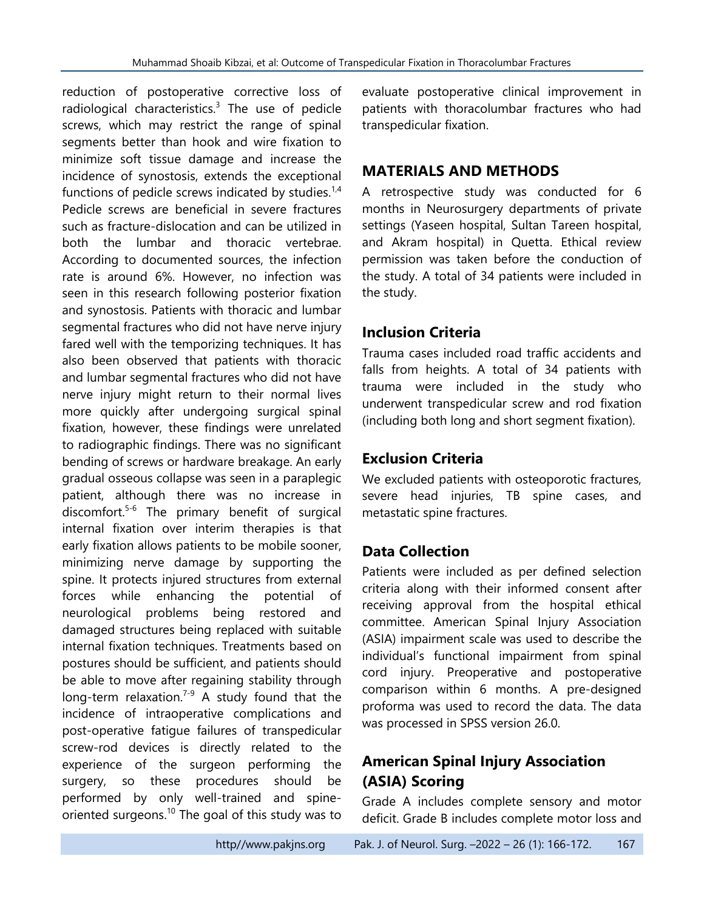reduction of postoperative corrective loss of radiological characteristics. $3$  The use of pedicle screws, which may restrict the range of spinal segments better than hook and wire fixation to minimize soft tissue damage and increase the incidence of synostosis, extends the exceptional functions of pedicle screws indicated by studies. $1,4$ Pedicle screws are beneficial in severe fractures such as fracture-dislocation and can be utilized in both the lumbar and thoracic vertebrae. According to documented sources, the infection rate is around 6%. However, no infection was seen in this research following posterior fixation and synostosis. Patients with thoracic and lumbar segmental fractures who did not have nerve injury fared well with the temporizing techniques. It has also been observed that patients with thoracic and lumbar segmental fractures who did not have nerve injury might return to their normal lives more quickly after undergoing surgical spinal fixation, however, these findings were unrelated to radiographic findings. There was no significant bending of screws or hardware breakage. An early gradual osseous collapse was seen in a paraplegic patient, although there was no increase in discomfort. 5-6 The primary benefit of surgical internal fixation over interim therapies is that early fixation allows patients to be mobile sooner, minimizing nerve damage by supporting the spine. It protects injured structures from external forces while enhancing the potential of neurological problems being restored and damaged structures being replaced with suitable internal fixation techniques. Treatments based on postures should be sufficient, and patients should be able to move after regaining stability through long-term relaxation.<sup>7-9</sup> A study found that the incidence of intraoperative complications and post-operative fatigue failures of transpedicular screw-rod devices is directly related to the experience of the surgeon performing the surgery, so these procedures should be performed by only well-trained and spineoriented surgeons.<sup>10</sup> The goal of this study was to

evaluate postoperative clinical improvement in patients with thoracolumbar fractures who had transpedicular fixation.

# **MATERIALS AND METHODS**

A retrospective study was conducted for 6 months in Neurosurgery departments of private settings (Yaseen hospital, Sultan Tareen hospital, and Akram hospital) in Quetta. Ethical review permission was taken before the conduction of the study. A total of 34 patients were included in the study.

# **Inclusion Criteria**

Trauma cases included road traffic accidents and falls from heights. A total of 34 patients with trauma were included in the study who underwent transpedicular screw and rod fixation (including both long and short segment fixation).

# **Exclusion Criteria**

We excluded patients with osteoporotic fractures, severe head injuries, TB spine cases, and metastatic spine fractures.

# **Data Collection**

Patients were included as per defined selection criteria along with their informed consent after receiving approval from the hospital ethical committee. American Spinal Injury Association (ASIA) impairment scale was used to describe the individual's functional impairment from spinal cord injury. Preoperative and postoperative comparison within 6 months. A pre-designed proforma was used to record the data. The data was processed in SPSS version 26.0.

# **American Spinal Injury Association (ASIA) Scoring**

Grade A includes complete sensory and motor deficit. Grade B includes complete motor loss and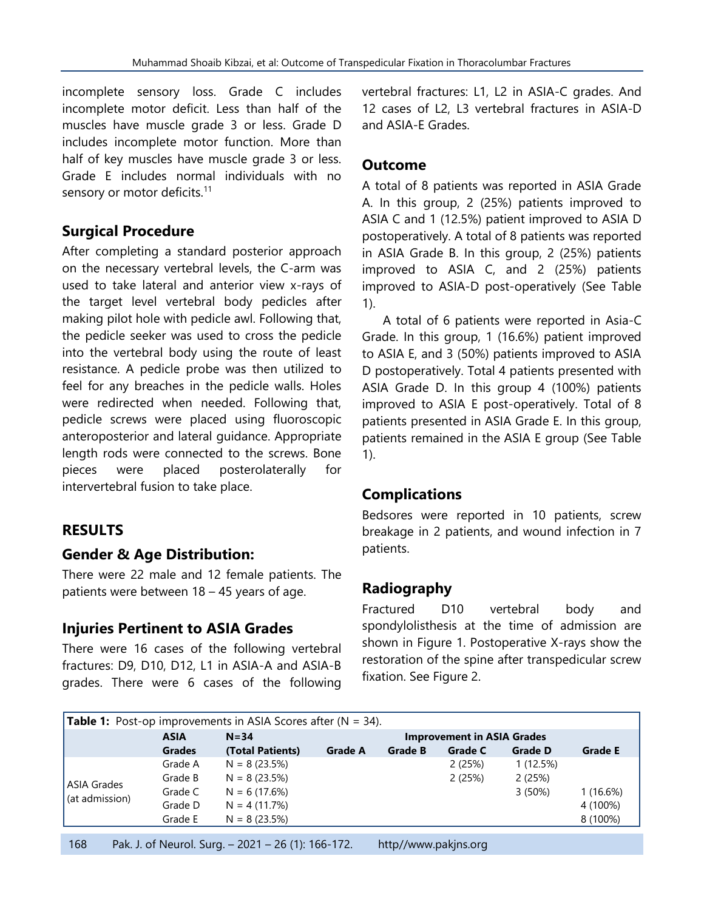incomplete sensory loss. Grade C includes incomplete motor deficit. Less than half of the muscles have muscle grade 3 or less. Grade D includes incomplete motor function. More than half of key muscles have muscle grade 3 or less. Grade E includes normal individuals with no sensory or motor deficits.<sup>11</sup>

#### **Surgical Procedure**

After completing a standard posterior approach on the necessary vertebral levels, the C-arm was used to take lateral and anterior view x-rays of the target level vertebral body pedicles after making pilot hole with pedicle awl. Following that, the pedicle seeker was used to cross the pedicle into the vertebral body using the route of least resistance. A pedicle probe was then utilized to feel for any breaches in the pedicle walls. Holes were redirected when needed. Following that, pedicle screws were placed using fluoroscopic anteroposterior and lateral guidance. Appropriate length rods were connected to the screws. Bone pieces were placed posterolaterally for intervertebral fusion to take place.

#### **RESULTS**

# **Gender & Age Distribution:**

There were 22 male and 12 female patients. The patients were between 18 – 45 years of age.

# **Injuries Pertinent to ASIA Grades**

There were 16 cases of the following vertebral fractures: D9, D10, D12, L1 in ASIA-A and ASIA-B grades. There were 6 cases of the following vertebral fractures: L1, L2 in ASIA-C grades. And 12 cases of L2, L3 vertebral fractures in ASIA-D and ASIA-E Grades.

#### **Outcome**

A total of 8 patients was reported in ASIA Grade A. In this group, 2 (25%) patients improved to ASIA C and 1 (12.5%) patient improved to ASIA D postoperatively. A total of 8 patients was reported in ASIA Grade B. In this group, 2 (25%) patients improved to ASIA C, and 2 (25%) patients improved to ASIA-D post-operatively (See Table 1).

A total of 6 patients were reported in Asia-C Grade. In this group, 1 (16.6%) patient improved to ASIA E, and 3 (50%) patients improved to ASIA D postoperatively. Total 4 patients presented with ASIA Grade D. In this group 4 (100%) patients improved to ASIA E post-operatively. Total of 8 patients presented in ASIA Grade E. In this group, patients remained in the ASIA E group (See Table 1).

#### **Complications**

Bedsores were reported in 10 patients, screw breakage in 2 patients, and wound infection in 7 patients.

# **Radiography**

Fractured D10 vertebral body and spondylolisthesis at the time of admission are shown in Figure 1. Postoperative X-rays show the restoration of the spine after transpedicular screw fixation. See Figure 2.

| <b>Table 1:</b> Post-op improvements in ASIA Scores after $(N = 34)$ . |               |                                               |                |                |                |                |                |  |
|------------------------------------------------------------------------|---------------|-----------------------------------------------|----------------|----------------|----------------|----------------|----------------|--|
|                                                                        | <b>ASIA</b>   | <b>Improvement in ASIA Grades</b><br>$N = 34$ |                |                |                |                |                |  |
|                                                                        | <b>Grades</b> | (Total Patients)                              | <b>Grade A</b> | <b>Grade B</b> | <b>Grade C</b> | <b>Grade D</b> | <b>Grade E</b> |  |
|                                                                        | Grade A       | $N = 8(23.5%)$                                |                |                | 2(25%)         | 1(12.5%)       |                |  |
|                                                                        | Grade B       | $N = 8(23.5%)$                                |                |                | 2(25%)         | 2(25%)         |                |  |
| <b>ASIA Grades</b><br>(at admission)                                   | Grade C       | $N = 6(17.6%)$                                |                |                |                | 3(50%)         | 1 (16.6%)      |  |
|                                                                        | Grade D       | $N = 4(11.7%)$                                |                |                |                |                | 4 (100%)       |  |
|                                                                        | Grade E       | $N = 8(23.5%)$                                |                |                |                |                | 8 (100%)       |  |
|                                                                        |               |                                               |                |                |                |                |                |  |

168 Pak. J. of Neurol. Surg. – 2021 – 26 (1): 166-172. http//www.pakjns.org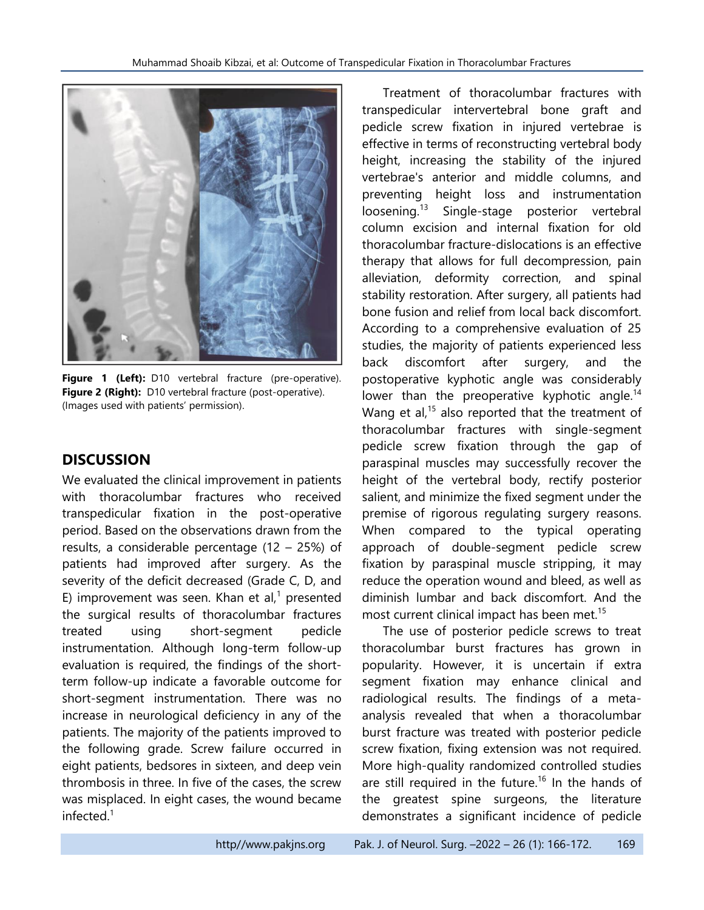

**Figure 1 (Left):** D10 vertebral fracture (pre-operative). **Figure 2 (Right):** D10 vertebral fracture (post-operative). (Images used with patients' permission).

#### **DISCUSSION**

We evaluated the clinical improvement in patients with thoracolumbar fractures who received transpedicular fixation in the post-operative period. Based on the observations drawn from the results, a considerable percentage (12 – 25%) of patients had improved after surgery. As the severity of the deficit decreased (Grade C, D, and E) improvement was seen. Khan et al, <sup>1</sup> presented the surgical results of thoracolumbar fractures treated using short-segment pedicle instrumentation. Although long-term follow-up evaluation is required, the findings of the shortterm follow-up indicate a favorable outcome for short-segment instrumentation. There was no increase in neurological deficiency in any of the patients. The majority of the patients improved to the following grade. Screw failure occurred in eight patients, bedsores in sixteen, and deep vein thrombosis in three. In five of the cases, the screw was misplaced. In eight cases, the wound became infected.<sup>1</sup>

Treatment of thoracolumbar fractures with transpedicular intervertebral bone graft and pedicle screw fixation in injured vertebrae is effective in terms of reconstructing vertebral body height, increasing the stability of the injured vertebrae's anterior and middle columns, and preventing height loss and instrumentation loosening. 13 Single-stage posterior vertebral column excision and internal fixation for old thoracolumbar fracture-dislocations is an effective therapy that allows for full decompression, pain alleviation, deformity correction, and spinal stability restoration. After surgery, all patients had bone fusion and relief from local back discomfort. According to a comprehensive evaluation of 25 studies, the majority of patients experienced less back discomfort after surgery, and the postoperative kyphotic angle was considerably lower than the preoperative kyphotic angle.<sup>14</sup> Wang et al,<sup>15</sup> also reported that the treatment of thoracolumbar fractures with single-segment pedicle screw fixation through the gap of paraspinal muscles may successfully recover the height of the vertebral body, rectify posterior salient, and minimize the fixed segment under the premise of rigorous regulating surgery reasons. When compared to the typical operating approach of double-segment pedicle screw fixation by paraspinal muscle stripping, it may reduce the operation wound and bleed, as well as diminish lumbar and back discomfort. And the most current clinical impact has been met. 15

The use of posterior pedicle screws to treat thoracolumbar burst fractures has grown in popularity. However, it is uncertain if extra segment fixation may enhance clinical and radiological results. The findings of a metaanalysis revealed that when a thoracolumbar burst fracture was treated with posterior pedicle screw fixation, fixing extension was not required. More high-quality randomized controlled studies are still required in the future.<sup>16</sup> In the hands of the greatest spine surgeons, the literature demonstrates a significant incidence of pedicle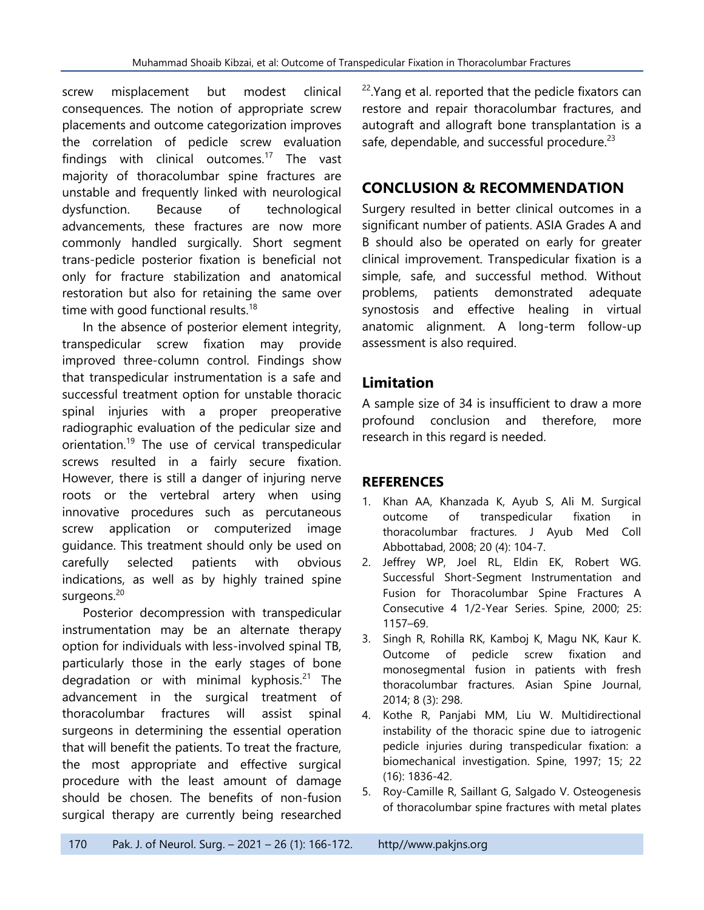screw misplacement but modest clinical consequences. The notion of appropriate screw placements and outcome categorization improves the correlation of pedicle screw evaluation findings with clinical outcomes.<sup>17</sup> The vast majority of thoracolumbar spine fractures are unstable and frequently linked with neurological dysfunction. Because of technological advancements, these fractures are now more commonly handled surgically. Short segment trans-pedicle posterior fixation is beneficial not only for fracture stabilization and anatomical restoration but also for retaining the same over time with good functional results.<sup>18</sup>

In the absence of posterior element integrity, transpedicular screw fixation may provide improved three-column control. Findings show that transpedicular instrumentation is a safe and successful treatment option for unstable thoracic spinal injuries with a proper preoperative radiographic evaluation of the pedicular size and orientation. 19 The use of cervical transpedicular screws resulted in a fairly secure fixation. However, there is still a danger of injuring nerve roots or the vertebral artery when using innovative procedures such as percutaneous screw application or computerized image guidance. This treatment should only be used on carefully selected patients with obvious indications, as well as by highly trained spine surgeons.<sup>20</sup>

Posterior decompression with transpedicular instrumentation may be an alternate therapy option for individuals with less-involved spinal TB, particularly those in the early stages of bone degradation or with minimal kyphosis.<sup>21</sup> The advancement in the surgical treatment of thoracolumbar fractures will assist spinal surgeons in determining the essential operation that will benefit the patients. To treat the fracture, the most appropriate and effective surgical procedure with the least amount of damage should be chosen. The benefits of non-fusion surgical therapy are currently being researched

<sup>22</sup>. Yang et al. reported that the pedicle fixators can restore and repair thoracolumbar fractures, and autograft and allograft bone transplantation is a safe, dependable, and successful procedure.<sup>23</sup>

# **CONCLUSION & RECOMMENDATION**

Surgery resulted in better clinical outcomes in a significant number of patients. ASIA Grades A and B should also be operated on early for greater clinical improvement. Transpedicular fixation is a simple, safe, and successful method. Without problems, patients demonstrated adequate synostosis and effective healing in virtual anatomic alignment. A long-term follow-up assessment is also required.

#### **Limitation**

A sample size of 34 is insufficient to draw a more profound conclusion and therefore, more research in this regard is needed.

#### **REFERENCES**

- 1. Khan AA, Khanzada K, Ayub S, Ali M. Surgical outcome of transpedicular fixation in thoracolumbar fractures. J Ayub Med Coll Abbottabad, 2008; 20 (4): 104-7.
- 2. Jeffrey WP, Joel RL, Eldin EK, Robert WG. Successful Short-Segment Instrumentation and Fusion for Thoracolumbar Spine Fractures A Consecutive 4 1/2-Year Series. Spine, 2000; 25: 1157–69.
- 3. Singh R, Rohilla RK, Kamboj K, Magu NK, Kaur K. Outcome of pedicle screw fixation and monosegmental fusion in patients with fresh thoracolumbar fractures. Asian Spine Journal, 2014; 8 (3): 298.
- 4. Kothe R, Panjabi MM, Liu W. Multidirectional instability of the thoracic spine due to iatrogenic pedicle injuries during transpedicular fixation: a biomechanical investigation. Spine, 1997; 15; 22 (16): 1836-42.
- 5. Roy-Camille R, Saillant G, Salgado V. Osteogenesis of thoracolumbar spine fractures with metal plates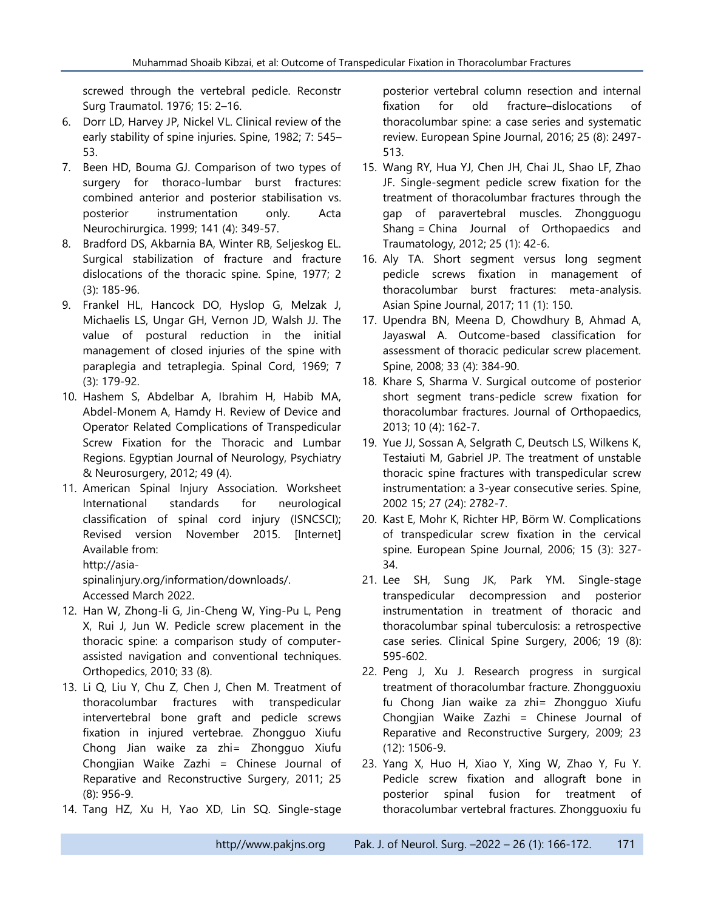screwed through the vertebral pedicle. Reconstr Surg Traumatol. 1976; 15: 2–16.

- 6. Dorr LD, Harvey JP, Nickel VL. Clinical review of the early stability of spine injuries. Spine, 1982; 7: 545– 53.
- 7. Been HD, Bouma GJ. Comparison of two types of surgery for thoraco-lumbar burst fractures: combined anterior and posterior stabilisation vs. posterior instrumentation only. Acta Neurochirurgica. 1999; 141 (4): 349-57.
- 8. Bradford DS, Akbarnia BA, Winter RB, Seljeskog EL. Surgical stabilization of fracture and fracture dislocations of the thoracic spine. Spine, 1977; 2 (3): 185-96.
- 9. Frankel HL, Hancock DO, Hyslop G, Melzak J, Michaelis LS, Ungar GH, Vernon JD, Walsh JJ. The value of postural reduction in the initial management of closed injuries of the spine with paraplegia and tetraplegia. Spinal Cord, 1969; 7 (3): 179-92.
- 10. Hashem S, Abdelbar A, Ibrahim H, Habib MA, Abdel-Monem A, Hamdy H. Review of Device and Operator Related Complications of Transpedicular Screw Fixation for the Thoracic and Lumbar Regions. Egyptian Journal of Neurology, Psychiatry & Neurosurgery, 2012; 49 (4).
- 11. American Spinal Injury Association. Worksheet International standards for neurological classification of spinal cord injury (ISNCSCI); Revised version November 2015. [Internet] Available from:

[http://asia-](http://asia-spinalinjury.org/information/downloads/)

[spinalinjury.org/information/downloads/.](http://asia-spinalinjury.org/information/downloads/) Accessed March 2022.

- 12. Han W, Zhong-li G, Jin-Cheng W, Ying-Pu L, Peng X, Rui J, Jun W. Pedicle screw placement in the thoracic spine: a comparison study of computerassisted navigation and conventional techniques. Orthopedics, 2010; 33 (8).
- 13. Li Q, Liu Y, Chu Z, Chen J, Chen M. Treatment of thoracolumbar fractures with transpedicular intervertebral bone graft and pedicle screws fixation in injured vertebrae. Zhongguo Xiufu Chong Jian waike za zhi= Zhongguo Xiufu Chongjian Waike Zazhi = Chinese Journal of Reparative and Reconstructive Surgery, 2011; 25 (8): 956-9.
- 14. Tang HZ, Xu H, Yao XD, Lin SQ. Single-stage

posterior vertebral column resection and internal fixation for old fracture–dislocations of thoracolumbar spine: a case series and systematic review. European Spine Journal, 2016; 25 (8): 2497- 513.

- 15. Wang RY, Hua YJ, Chen JH, Chai JL, Shao LF, Zhao JF. Single-segment pedicle screw fixation for the treatment of thoracolumbar fractures through the gap of paravertebral muscles. Zhongguogu Shang = China Journal of Orthopaedics and Traumatology, 2012; 25 (1): 42-6.
- 16. Aly TA. Short segment versus long segment pedicle screws fixation in management of thoracolumbar burst fractures: meta-analysis. Asian Spine Journal, 2017; 11 (1): 150.
- 17. Upendra BN, Meena D, Chowdhury B, Ahmad A, Jayaswal A. Outcome-based classification for assessment of thoracic pedicular screw placement. Spine, 2008; 33 (4): 384-90.
- 18. Khare S, Sharma V. Surgical outcome of posterior short segment trans-pedicle screw fixation for thoracolumbar fractures. Journal of Orthopaedics, 2013; 10 (4): 162-7.
- 19. Yue JJ, Sossan A, Selgrath C, Deutsch LS, Wilkens K, Testaiuti M, Gabriel JP. The treatment of unstable thoracic spine fractures with transpedicular screw instrumentation: a 3-year consecutive series. Spine, 2002 15; 27 (24): 2782-7.
- 20. Kast E, Mohr K, Richter HP, Börm W. Complications of transpedicular screw fixation in the cervical spine. European Spine Journal, 2006; 15 (3): 327- 34.
- 21. Lee SH, Sung JK, Park YM. Single-stage transpedicular decompression and posterior instrumentation in treatment of thoracic and thoracolumbar spinal tuberculosis: a retrospective case series. Clinical Spine Surgery, 2006; 19 (8): 595-602.
- 22. Peng J, Xu J. Research progress in surgical treatment of thoracolumbar fracture. Zhongguoxiu fu Chong Jian waike za zhi= Zhongguo Xiufu Chongjian Waike Zazhi = Chinese Journal of Reparative and Reconstructive Surgery, 2009; 23 (12): 1506-9.
- 23. Yang X, Huo H, Xiao Y, Xing W, Zhao Y, Fu Y. Pedicle screw fixation and allograft bone in posterior spinal fusion for treatment of thoracolumbar vertebral fractures. Zhongguoxiu fu